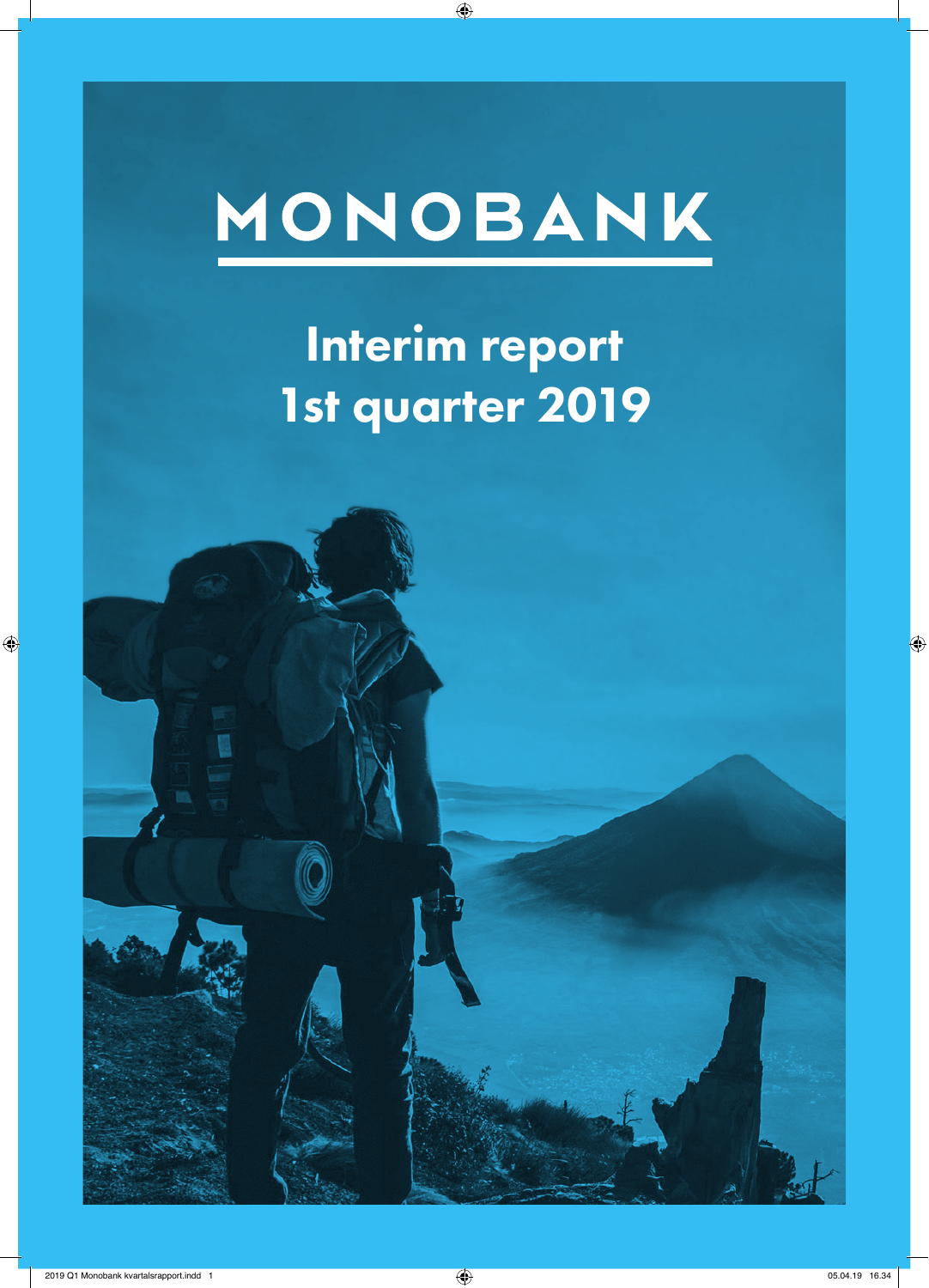# MONOBANK

 $\bigoplus$ 

Interim report 1st quarter 2019



 $\bigoplus$ 

 $\bigoplus$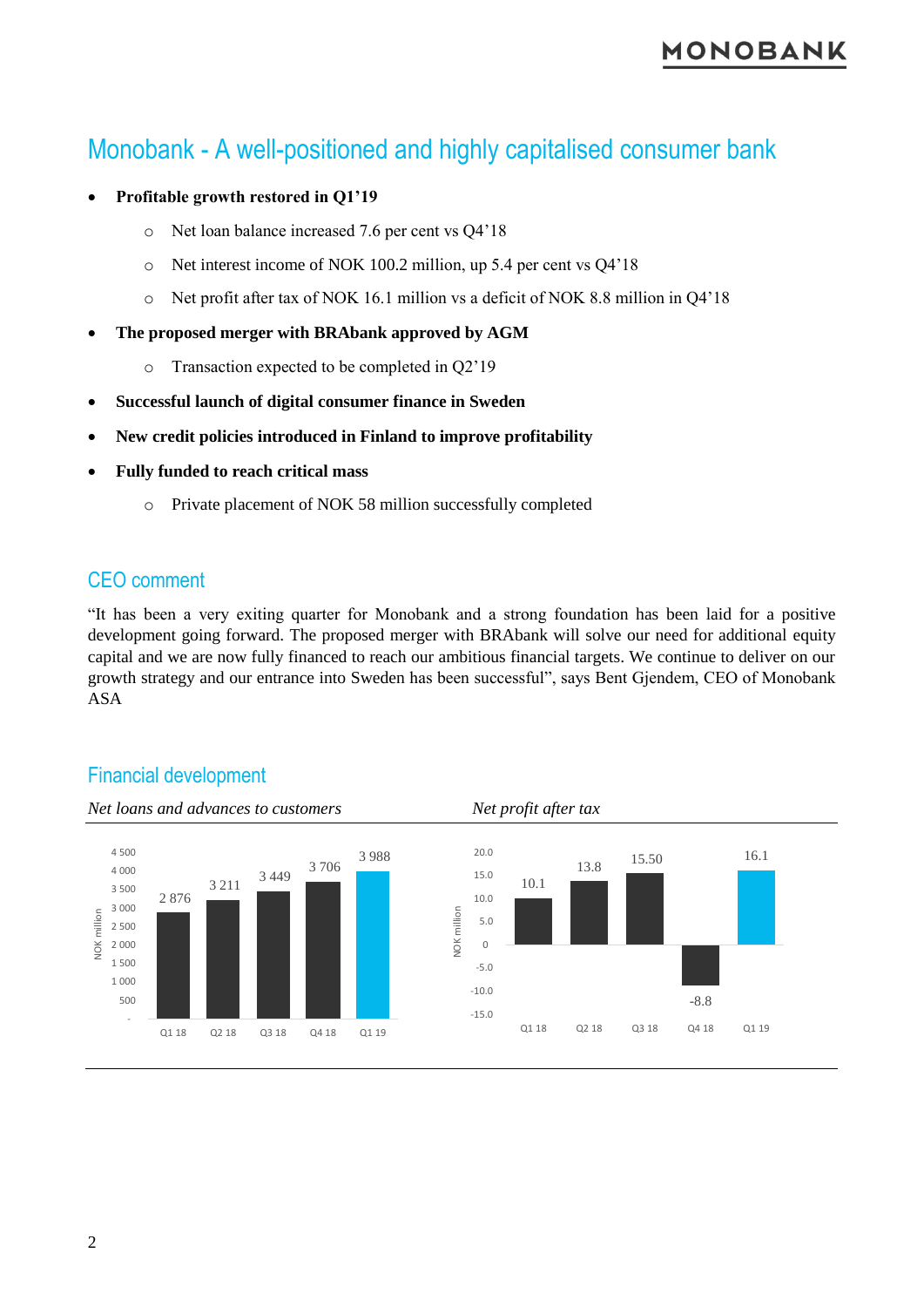## Monobank - A well-positioned and highly capitalised consumer bank

#### • **Profitable growth restored in Q1'19**

- o Net loan balance increased 7.6 per cent vs Q4'18
- o Net interest income of NOK 100.2 million, up 5.4 per cent vs Q4'18
- o Net profit after tax of NOK 16.1 million vs a deficit of NOK 8.8 million in Q4'18
- **The proposed merger with BRAbank approved by AGM**
	- o Transaction expected to be completed in Q2'19
- **Successful launch of digital consumer finance in Sweden**
- **New credit policies introduced in Finland to improve profitability**
- **Fully funded to reach critical mass**
	- o Private placement of NOK 58 million successfully completed

#### CEO comment

"It has been a very exiting quarter for Monobank and a strong foundation has been laid for a positive development going forward. The proposed merger with BRAbank will solve our need for additional equity capital and we are now fully financed to reach our ambitious financial targets. We continue to deliver on our growth strategy and our entrance into Sweden has been successful", says Bent Gjendem, CEO of Monobank ASA



#### Financial development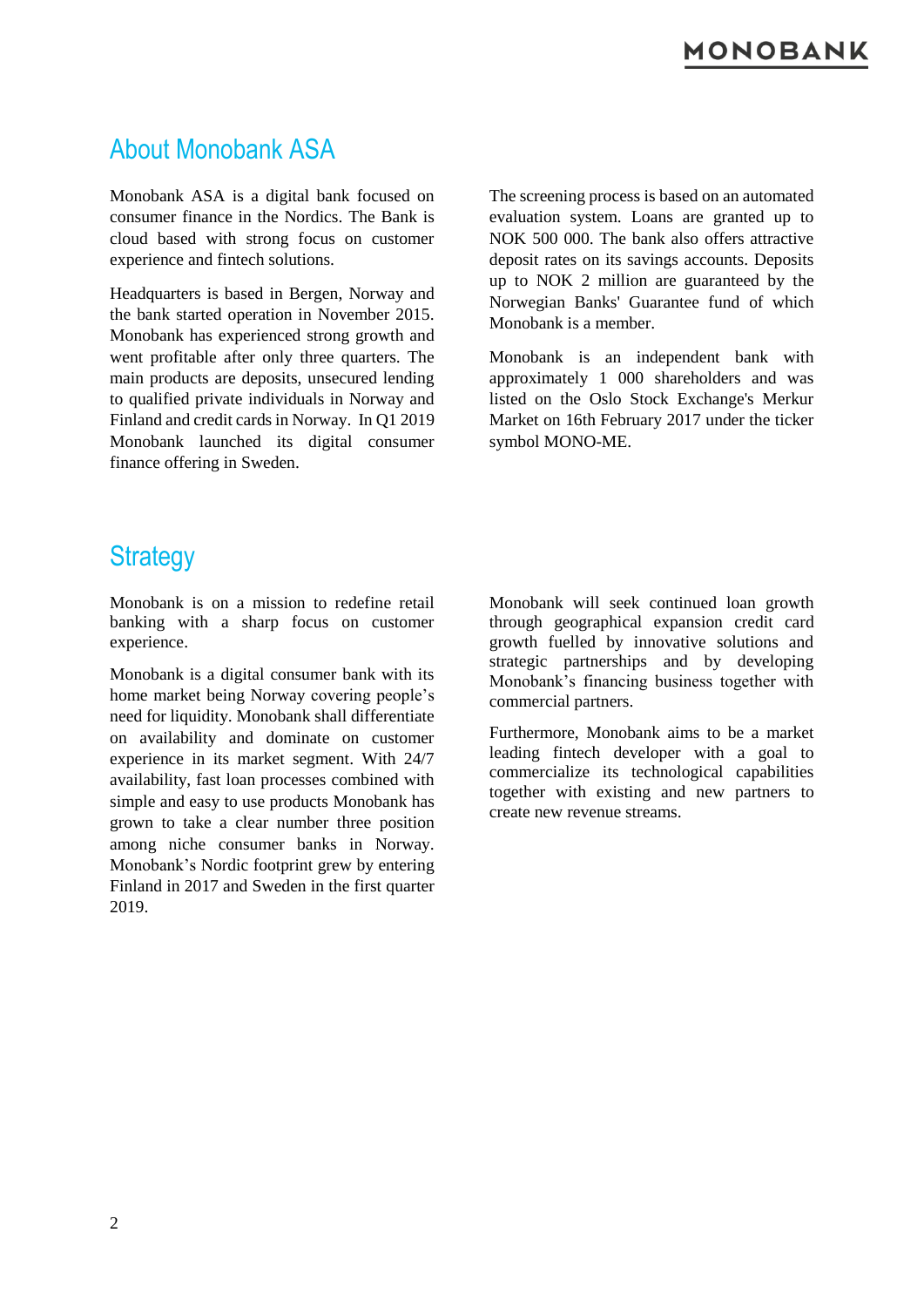## About Monobank ASA

Monobank ASA is a digital bank focused on consumer finance in the Nordics. The Bank is cloud based with strong focus on customer experience and fintech solutions.

Headquarters is based in Bergen, Norway and the bank started operation in November 2015. Monobank has experienced strong growth and went profitable after only three quarters. The main products are deposits, unsecured lending to qualified private individuals in Norway and Finland and credit cards in Norway. In Q1 2019 Monobank launched its digital consumer finance offering in Sweden.

The screening process is based on an automated evaluation system. Loans are granted up to NOK 500 000. The bank also offers attractive deposit rates on its savings accounts. Deposits up to NOK 2 million are guaranteed by the Norwegian Banks' Guarantee fund of which Monobank is a member.

Monobank is an independent bank with approximately 1 000 shareholders and was listed on the Oslo Stock Exchange's Merkur Market on 16th February 2017 under the ticker symbol MONO-ME.

## **Strategy**

Monobank is on a mission to redefine retail banking with a sharp focus on customer experience.

Monobank is a digital consumer bank with its home market being Norway covering people's need for liquidity. Monobank shall differentiate on availability and dominate on customer experience in its market segment. With 24/7 availability, fast loan processes combined with simple and easy to use products Monobank has grown to take a clear number three position among niche consumer banks in Norway. Monobank's Nordic footprint grew by entering Finland in 2017 and Sweden in the first quarter 2019.

Monobank will seek continued loan growth through geographical expansion credit card growth fuelled by innovative solutions and strategic partnerships and by developing Monobank's financing business together with commercial partners.

Furthermore, Monobank aims to be a market leading fintech developer with a goal to commercialize its technological capabilities together with existing and new partners to create new revenue streams.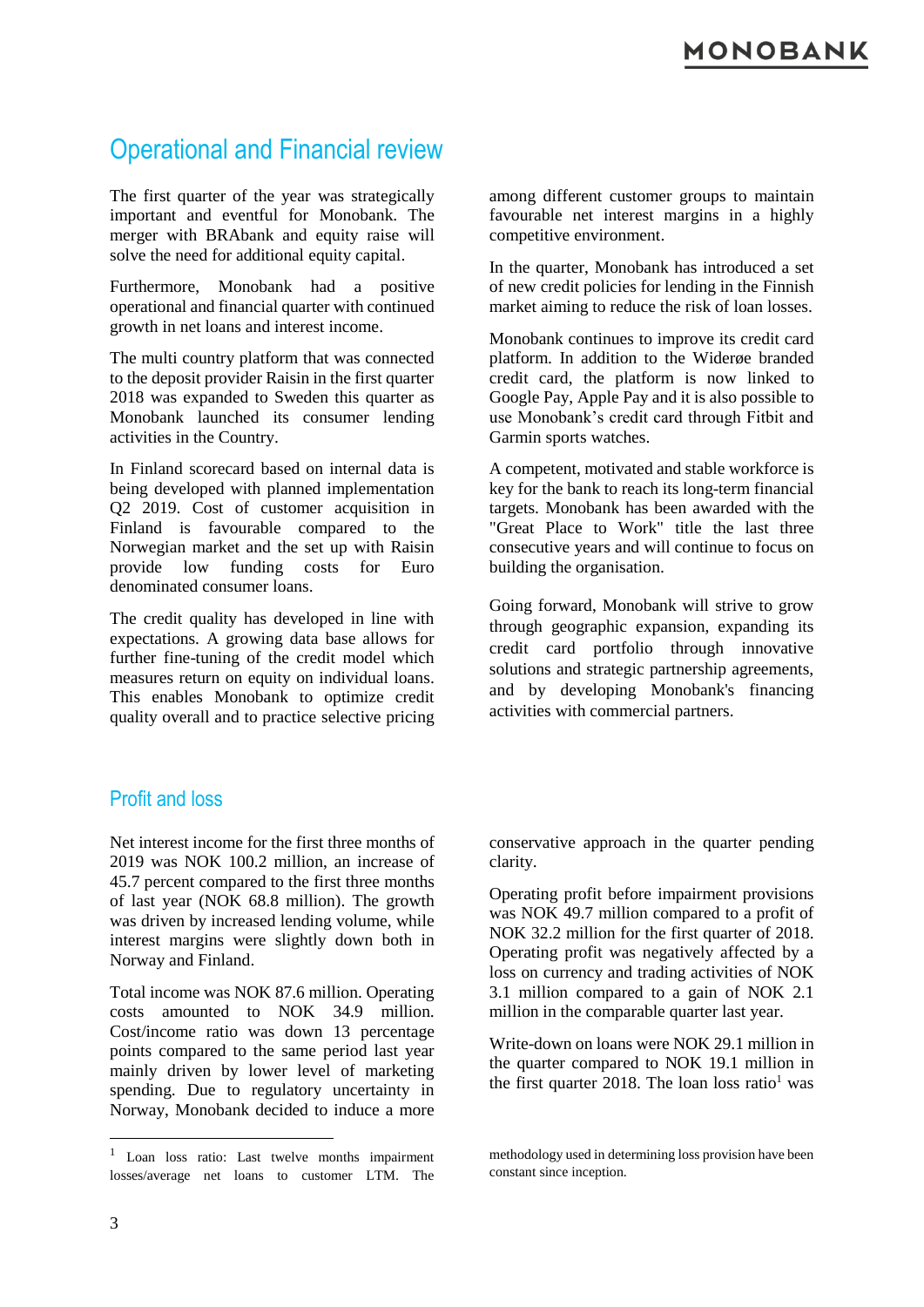## Operational and Financial review

The first quarter of the year was strategically important and eventful for Monobank. The merger with BRAbank and equity raise will solve the need for additional equity capital.

Furthermore, Monobank had a positive operational and financial quarter with continued growth in net loans and interest income.

The multi country platform that was connected to the deposit provider Raisin in the first quarter 2018 was expanded to Sweden this quarter as Monobank launched its consumer lending activities in the Country.

In Finland scorecard based on internal data is being developed with planned implementation Q2 2019. Cost of customer acquisition in Finland is favourable compared to the Norwegian market and the set up with Raisin provide low funding costs for Euro denominated consumer loans.

The credit quality has developed in line with expectations. A growing data base allows for further fine-tuning of the credit model which measures return on equity on individual loans. This enables Monobank to optimize credit quality overall and to practice selective pricing among different customer groups to maintain favourable net interest margins in a highly competitive environment.

In the quarter, Monobank has introduced a set of new credit policies for lending in the Finnish market aiming to reduce the risk of loan losses.

Monobank continues to improve its credit card platform. In addition to the Widerøe branded credit card, the platform is now linked to Google Pay, Apple Pay and it is also possible to use Monobank's credit card through Fitbit and Garmin sports watches.

A competent, motivated and stable workforce is key for the bank to reach its long-term financial targets. Monobank has been awarded with the "Great Place to Work" title the last three consecutive years and will continue to focus on building the organisation.

Going forward, Monobank will strive to grow through geographic expansion, expanding its credit card portfolio through innovative solutions and strategic partnership agreements, and by developing Monobank's financing activities with commercial partners.

#### Profit and loss

Net interest income for the first three months of 2019 was NOK 100.2 million, an increase of 45.7 percent compared to the first three months of last year (NOK 68.8 million). The growth was driven by increased lending volume, while interest margins were slightly down both in Norway and Finland.

Total income was NOK 87.6 million. Operating costs amounted to NOK 34.9 million. Cost/income ratio was down 13 percentage points compared to the same period last year mainly driven by lower level of marketing spending. Due to regulatory uncertainty in Norway, Monobank decided to induce a more conservative approach in the quarter pending clarity.

Operating profit before impairment provisions was NOK 49.7 million compared to a profit of NOK 32.2 million for the first quarter of 2018. Operating profit was negatively affected by a loss on currency and trading activities of NOK 3.1 million compared to a gain of NOK 2.1 million in the comparable quarter last year.

Write-down on loans were NOK 29.1 million in the quarter compared to NOK 19.1 million in the first quarter 2018. The loan loss ratio<sup>1</sup> was

1

<sup>1</sup> Loan loss ratio: Last twelve months impairment losses/average net loans to customer LTM. The

methodology used in determining loss provision have been constant since inception.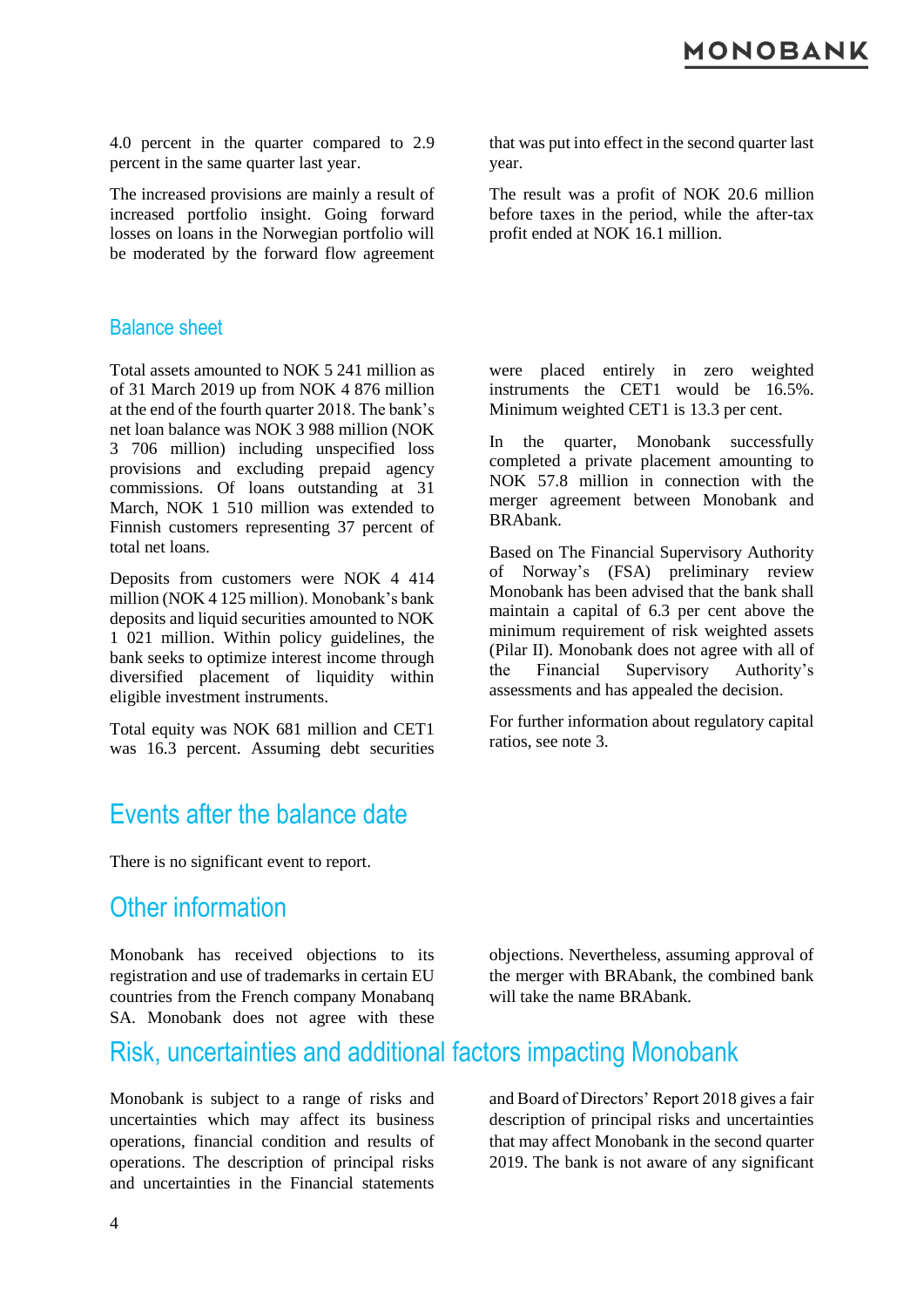4.0 percent in the quarter compared to 2.9 percent in the same quarter last year.

The increased provisions are mainly a result of increased portfolio insight. Going forward losses on loans in the Norwegian portfolio will be moderated by the forward flow agreement that was put into effect in the second quarter last year.

The result was a profit of NOK 20.6 million before taxes in the period, while the after-tax profit ended at NOK 16.1 million.

#### Balance sheet

Total assets amounted to NOK 5 241 million as of 31 March 2019 up from NOK 4 876 million at the end of the fourth quarter 2018. The bank's net loan balance was NOK 3 988 million (NOK 3 706 million) including unspecified loss provisions and excluding prepaid agency commissions. Of loans outstanding at 31 March, NOK 1 510 million was extended to Finnish customers representing 37 percent of total net loans.

Deposits from customers were NOK 4 414 million (NOK 4 125 million). Monobank's bank deposits and liquid securities amounted to NOK 1 021 million. Within policy guidelines, the bank seeks to optimize interest income through diversified placement of liquidity within eligible investment instruments.

Total equity was NOK 681 million and CET1 was 16.3 percent. Assuming debt securities were placed entirely in zero weighted instruments the CET1 would be 16.5%. Minimum weighted CET1 is 13.3 per cent.

In the quarter, Monobank successfully completed a private placement amounting to NOK 57.8 million in connection with the merger agreement between Monobank and BRAbank.

Based on The Financial Supervisory Authority of Norway's (FSA) preliminary review Monobank has been advised that the bank shall maintain a capital of 6.3 per cent above the minimum requirement of risk weighted assets (Pilar II). Monobank does not agree with all of the Financial Supervisory Authority's assessments and has appealed the decision.

For further information about regulatory capital ratios, see note 3.

#### Events after the balance date

There is no significant event to report.

#### Other information

Monobank has received objections to its registration and use of trademarks in certain EU countries from the French company Monabanq SA. Monobank does not agree with these

objections. Nevertheless, assuming approval of the merger with BRAbank, the combined bank will take the name BRAbank.

#### Risk, uncertainties and additional factors impacting Monobank

Monobank is subject to a range of risks and uncertainties which may affect its business operations, financial condition and results of operations. The description of principal risks and uncertainties in the Financial statements

and Board of Directors' Report 2018 gives a fair description of principal risks and uncertainties that may affect Monobank in the second quarter 2019. The bank is not aware of any significant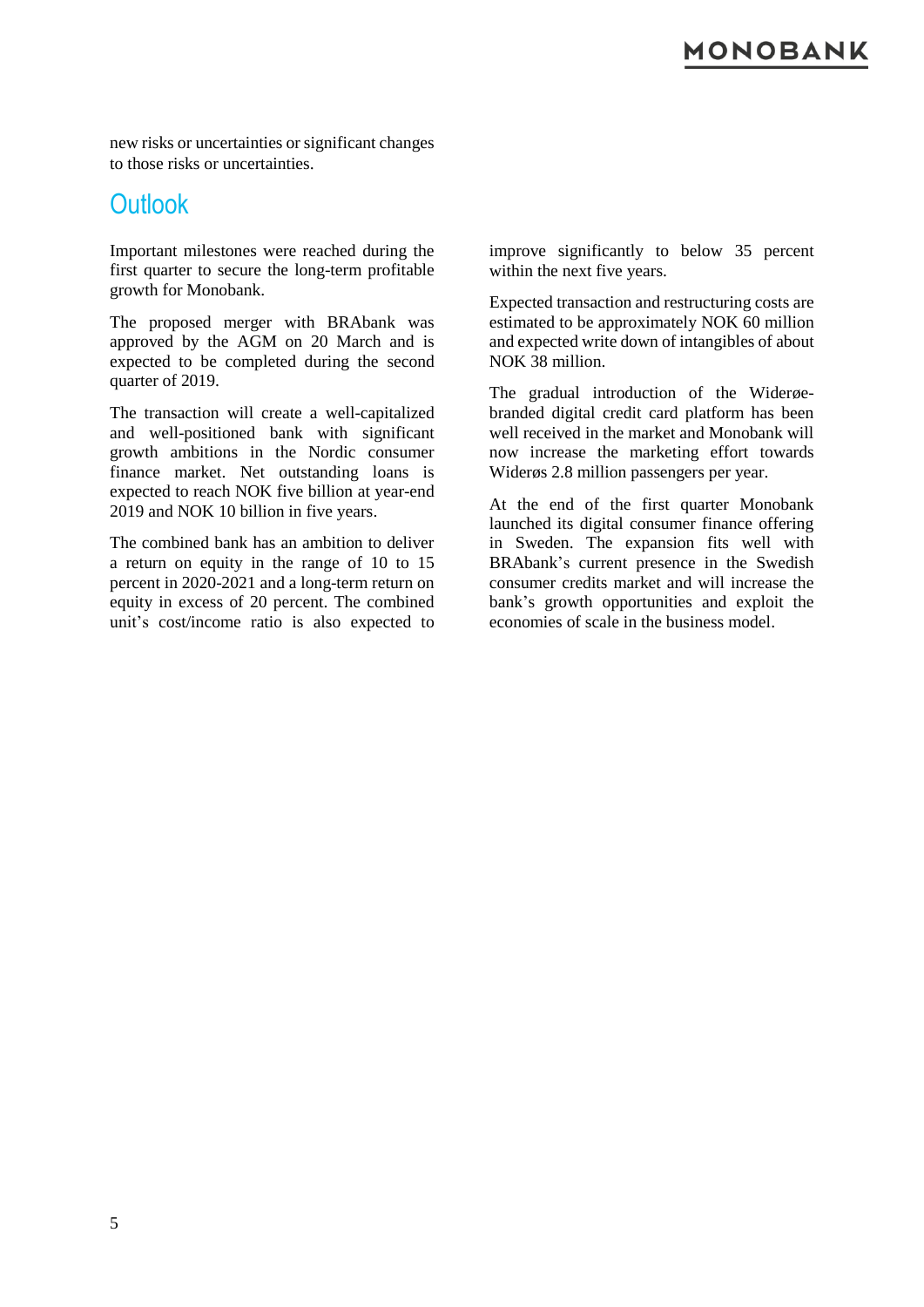#### **10N0BANK**

new risks or uncertainties or significant changes to those risks or uncertainties.

#### **Outlook**

Important milestones were reached during the first quarter to secure the long-term profitable growth for Monobank.

The proposed merger with BRAbank was approved by the AGM on 20 March and is expected to be completed during the second quarter of 2019.

The transaction will create a well-capitalized and well-positioned bank with significant growth ambitions in the Nordic consumer finance market. Net outstanding loans is expected to reach NOK five billion at year-end 2019 and NOK 10 billion in five years.

The combined bank has an ambition to deliver a return on equity in the range of 10 to 15 percent in 2020-2021 and a long-term return on equity in excess of 20 percent. The combined unit's cost/income ratio is also expected to

improve significantly to below 35 percent within the next five years.

Expected transaction and restructuring costs are estimated to be approximately NOK 60 million and expected write down of intangibles of about NOK 38 million.

The gradual introduction of the Widerøebranded digital credit card platform has been well received in the market and Monobank will now increase the marketing effort towards Widerøs 2.8 million passengers per year.

At the end of the first quarter Monobank launched its digital consumer finance offering in Sweden. The expansion fits well with BRAbank's current presence in the Swedish consumer credits market and will increase the bank's growth opportunities and exploit the economies of scale in the business model.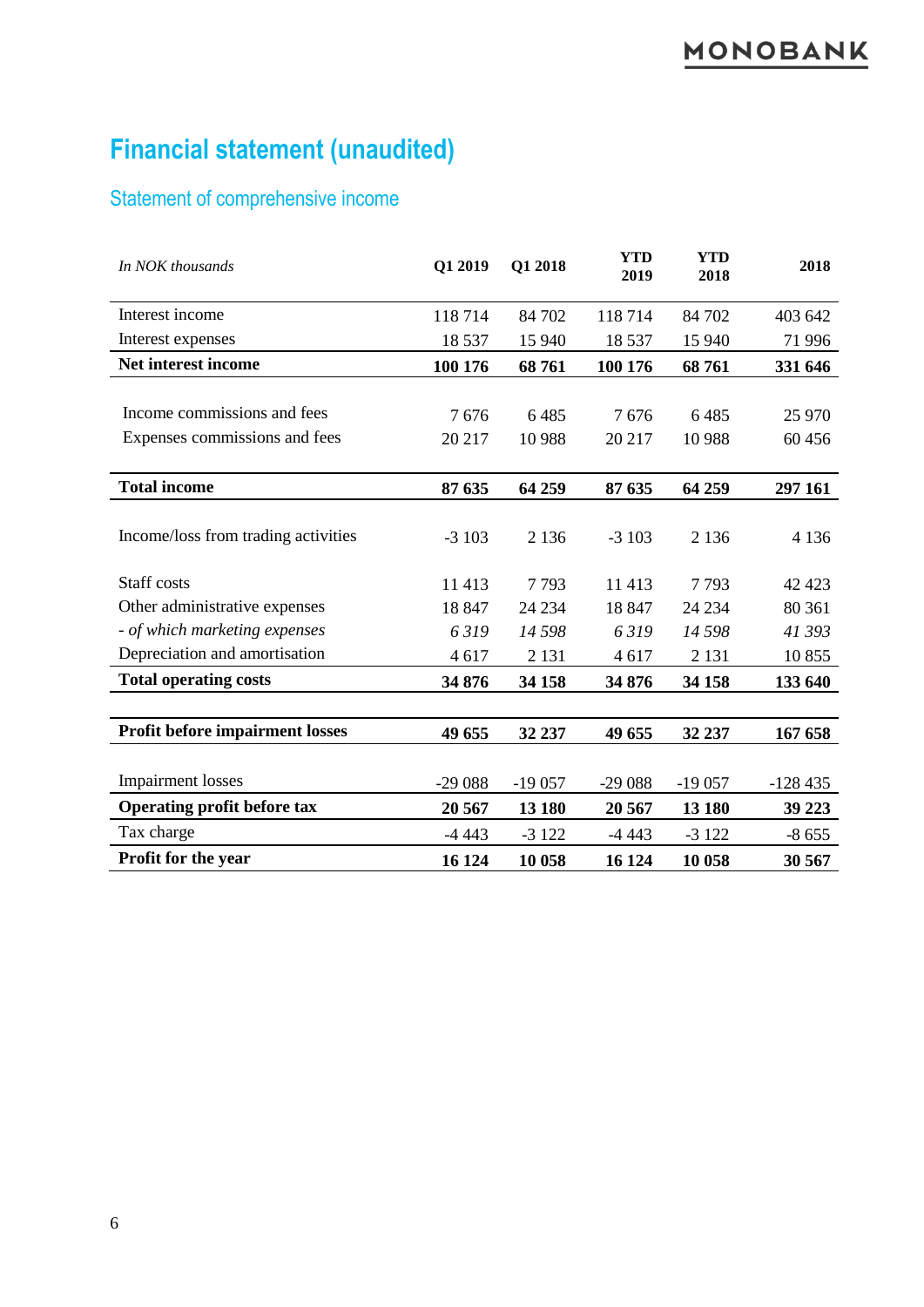## **Financial statement (unaudited)**

### Statement of comprehensive income

| In NOK thousands                       | Q1 2019  | Q1 2018  | <b>YTD</b><br>2019 | <b>YTD</b><br>2018 | 2018      |
|----------------------------------------|----------|----------|--------------------|--------------------|-----------|
| Interest income                        | 118714   | 84 702   | 118714             | 84 702             | 403 642   |
| Interest expenses                      | 18 5 37  | 15 940   | 18 5 37            | 15 940             | 71 996    |
| Net interest income                    | 100 176  | 68761    | 100 176            | 68761              | 331 646   |
|                                        |          |          |                    |                    |           |
| Income commissions and fees            | 7676     | 6485     | 7676               | 6485               | 25 970    |
| Expenses commissions and fees          | 20 217   | 10 9 88  | 20 217             | 10 9 88            | 60 456    |
|                                        |          |          |                    |                    |           |
| <b>Total income</b>                    | 87 635   | 64 259   | 87 635             | 64 259             | 297 161   |
|                                        |          |          |                    |                    |           |
| Income/loss from trading activities    | $-3103$  | 2 1 3 6  | $-3103$            | 2 1 3 6            | 4 1 3 6   |
|                                        |          |          |                    |                    |           |
| Staff costs                            | 11 413   | 7793     | 11 4 13            | 7793               | 42 4 23   |
| Other administrative expenses          | 18 847   | 24 234   | 18 847             | 24 234             | 80 361    |
| - of which marketing expenses          | 6319     | 14 5 98  | 6319               | 14 5 98            | 41 393    |
| Depreciation and amortisation          | 4617     | 2 1 3 1  | 4617               | 2 1 3 1            | 10855     |
| <b>Total operating costs</b>           | 34 876   | 34 158   | 34 876             | 34 158             | 133 640   |
|                                        |          |          |                    |                    |           |
| <b>Profit before impairment losses</b> | 49 655   | 32 237   | 49 655             | 32 237             | 167 658   |
|                                        |          |          |                    |                    |           |
| <b>Impairment</b> losses               | $-29088$ | $-19057$ | $-29088$           | $-19057$           | $-128435$ |
| <b>Operating profit before tax</b>     | 20 5 67  | 13 180   | 20 5 67            | 13 180             | 39 223    |
| Tax charge                             | $-443$   | $-3122$  | $-443$             | $-3122$            | $-8655$   |
| Profit for the year                    | 16 124   | 10 058   | 16 124             | 10 058             | 30 567    |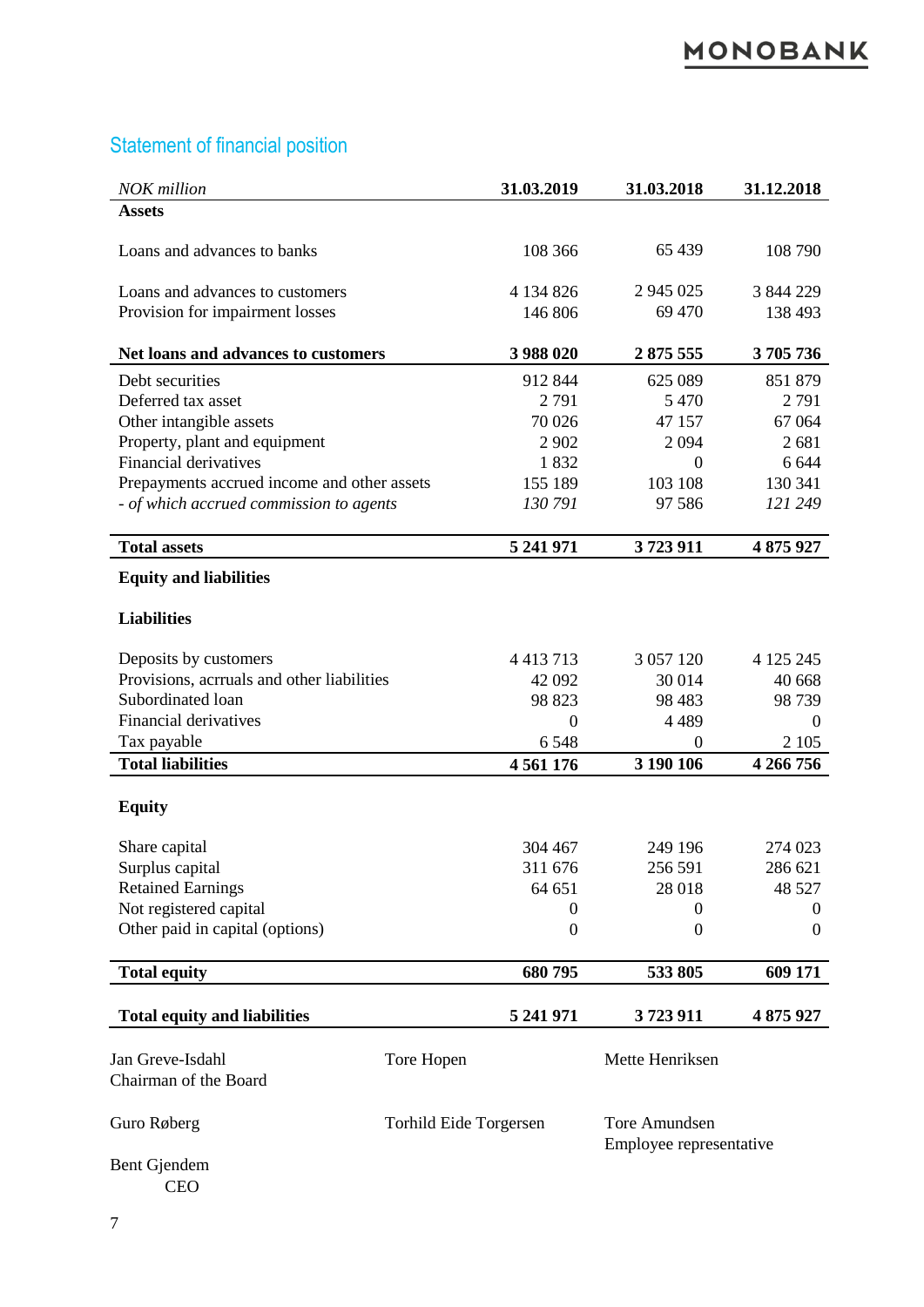## Statement of financial position

| <b>NOK</b> million                          |                        | 31.03.2019       | 31.03.2018                               | 31.12.2018 |
|---------------------------------------------|------------------------|------------------|------------------------------------------|------------|
| <b>Assets</b>                               |                        |                  |                                          |            |
| Loans and advances to banks                 |                        | 108 366          | 65 439                                   | 108 790    |
| Loans and advances to customers             |                        | 4 134 826        | 2 945 025                                | 3 844 229  |
| Provision for impairment losses             |                        | 146 806          | 69 470                                   | 138 493    |
| Net loans and advances to customers         |                        | 3 988 020        | 2875 555                                 | 3705736    |
| Debt securities                             |                        | 912 844          | 625 089                                  | 851 879    |
| Deferred tax asset                          |                        | 2791             | 5 4 7 0                                  | 2791       |
| Other intangible assets                     |                        | 70 0 26          | 47 157                                   | 67 064     |
| Property, plant and equipment               |                        | 2 9 0 2          | 2094                                     | 2681       |
| <b>Financial derivatives</b>                |                        | 1832             | $\theta$                                 | 6 6 4 4    |
| Prepayments accrued income and other assets |                        | 155 189          | 103 108                                  | 130 341    |
| - of which accrued commission to agents     |                        | 130 791          | 97 58 6                                  | 121 249    |
| <b>Total assets</b>                         |                        | 5 241 971        | 3723911                                  | 4 875 927  |
| <b>Equity and liabilities</b>               |                        |                  |                                          |            |
|                                             |                        |                  |                                          |            |
| <b>Liabilities</b>                          |                        |                  |                                          |            |
| Deposits by customers                       |                        | 4 4 1 3 7 1 3    | 3 0 5 7 1 2 0                            | 4 125 245  |
| Provisions, acrruals and other liabilities  |                        | 42 092           | 30 014                                   | 40 668     |
| Subordinated loan                           |                        | 98 823           | 98 4 83                                  | 98 739     |
| Financial derivatives                       |                        | $\theta$         | 4 4 8 9                                  | 0          |
| Tax payable                                 |                        | 6548             | $\Omega$                                 | 2 1 0 5    |
| <b>Total liabilities</b>                    |                        | 4 5 6 1 1 7 6    | 3 190 106                                | 4 266 756  |
|                                             |                        |                  |                                          |            |
| <b>Equity</b>                               |                        |                  |                                          |            |
| Share capital                               |                        | 304 467          | 249 196                                  | 274 023    |
| Surplus capital                             |                        | 311 676          | 256 591                                  | 286 621    |
| <b>Retained Earnings</b>                    |                        | 64 651           | 28 018                                   | 48 527     |
| Not registered capital                      |                        | $\theta$         | $\Omega$                                 | 0          |
| Other paid in capital (options)             |                        | $\boldsymbol{0}$ | $\theta$                                 | $\Omega$   |
| <b>Total equity</b>                         |                        | 680795           | 533 805                                  | 609 171    |
| <b>Total equity and liabilities</b>         |                        | 5 241 971        | 3723911                                  | 4 875 927  |
|                                             |                        |                  |                                          |            |
| Jan Greve-Isdahl<br>Chairman of the Board   | Tore Hopen             |                  | Mette Henriksen                          |            |
|                                             |                        |                  |                                          |            |
| Guro Røberg                                 | Torhild Eide Torgersen |                  | Tore Amundsen<br>Employee representative |            |
| Bent Gjendem<br><b>CEO</b>                  |                        |                  |                                          |            |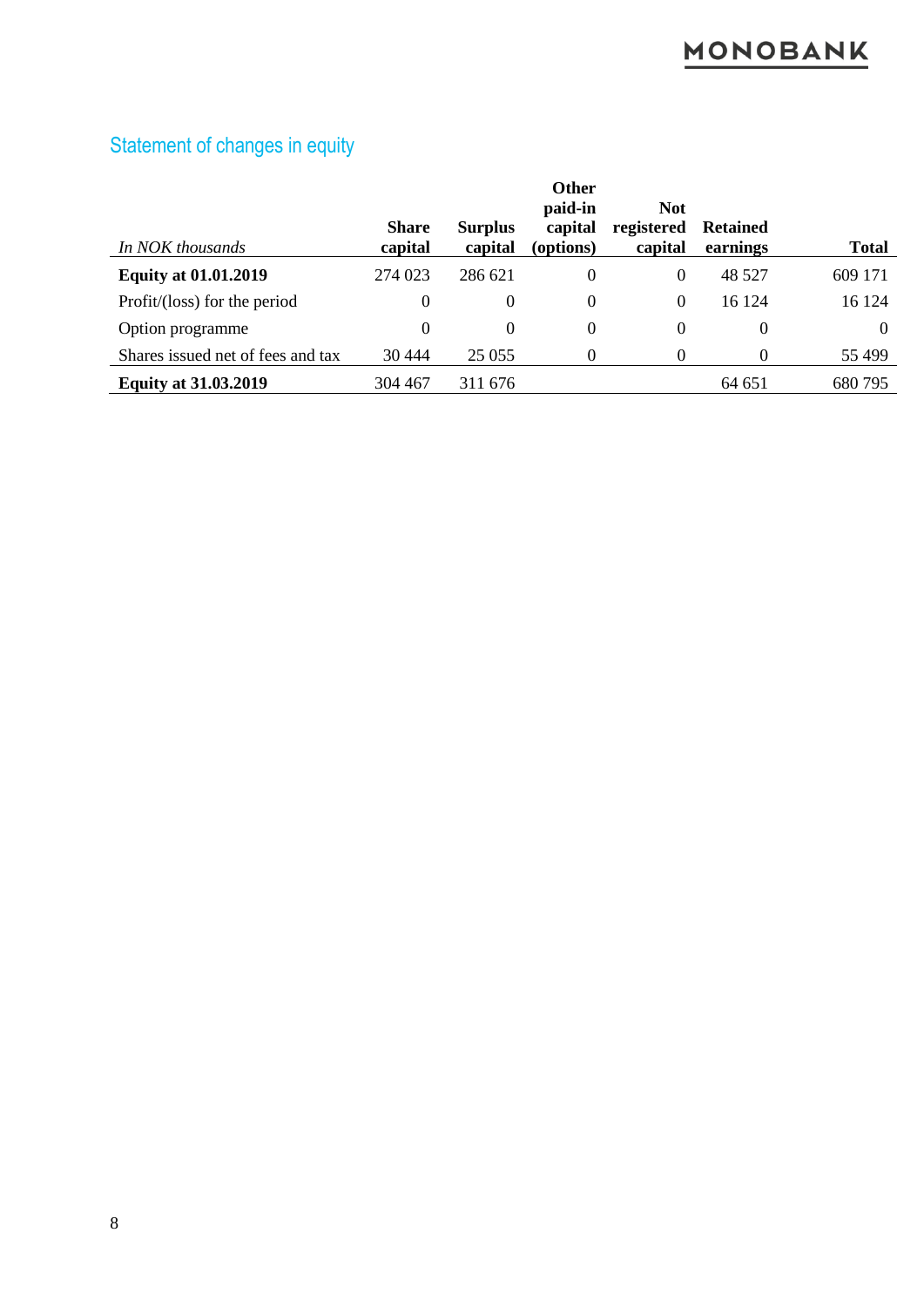| In NOK thousands                  | <b>Share</b><br>capital | <b>Surplus</b><br>capital | <b>Other</b><br>paid-in<br>capital<br>(options) | <b>Not</b><br>registered<br>capital | <b>Retained</b><br>earnings | <b>Total</b> |
|-----------------------------------|-------------------------|---------------------------|-------------------------------------------------|-------------------------------------|-----------------------------|--------------|
| <b>Equity at 01.01.2019</b>       | 274 023                 | 286 621                   | $\Omega$                                        | $\Omega$                            | 48 5 27                     | 609 171      |
| Profit/(loss) for the period      | $\theta$                | $\theta$                  | $\Omega$                                        | $\Omega$                            | 16 124                      | 16 124       |
| Option programme                  | $\Omega$                | $\theta$                  | $\theta$                                        | $\theta$                            | $\theta$                    | 0            |
| Shares issued net of fees and tax | 30 4 44                 | 25 0 55                   | $\Omega$                                        | 0                                   | 0                           | 55 499       |
| <b>Equity at 31.03.2019</b>       | 304 467                 | 311 676                   |                                                 |                                     | 64 651                      | 680795       |

## Statement of changes in equity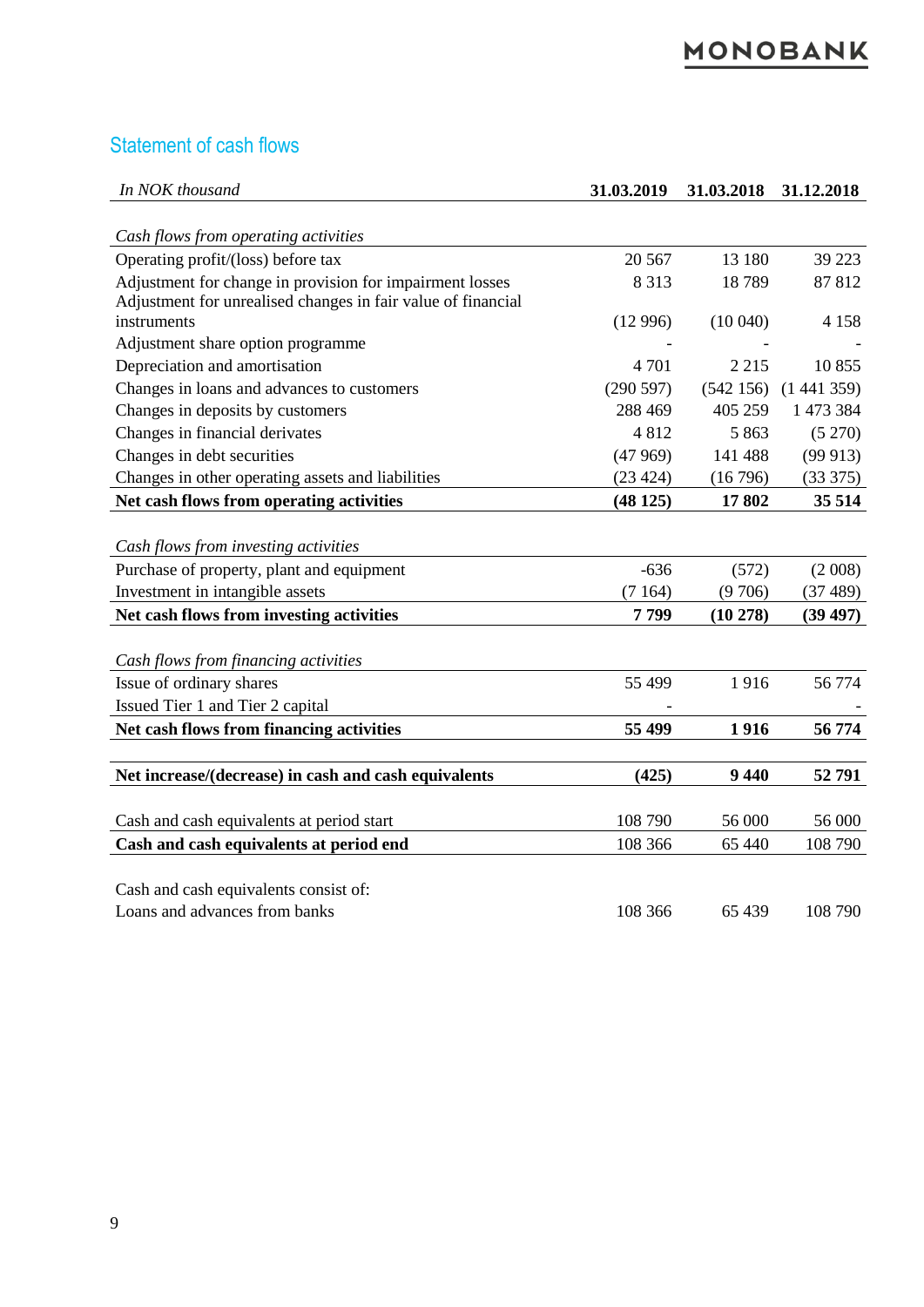#### Statement of cash flows

| In NOK thousand                                              | 31.03.2019 | 31.03.2018 | 31.12.2018 |
|--------------------------------------------------------------|------------|------------|------------|
|                                                              |            |            |            |
| Cash flows from operating activities                         |            |            |            |
| Operating profit/(loss) before tax                           | 20 5 67    | 13 180     | 39 223     |
| Adjustment for change in provision for impairment losses     | 8 3 1 3    | 18789      | 87812      |
| Adjustment for unrealised changes in fair value of financial |            |            |            |
| instruments                                                  | (12996)    | (10040)    | 4 1 5 8    |
| Adjustment share option programme                            |            |            |            |
| Depreciation and amortisation                                | 4701       | 2 2 1 5    | 10855      |
| Changes in loans and advances to customers                   | (290597)   | (542156)   | (1441359)  |
| Changes in deposits by customers                             | 288 469    | 405 259    | 1 473 384  |
| Changes in financial derivates                               | 4812       | 5 8 6 3    | (5 270)    |
| Changes in debt securities                                   | (47969)    | 141 488    | (99913)    |
| Changes in other operating assets and liabilities            | (23 424)   | (16796)    | (33 375)   |
| Net cash flows from operating activities                     | (48125)    | 17802      | 35 514     |
|                                                              |            |            |            |
| Cash flows from investing activities                         |            |            |            |
| Purchase of property, plant and equipment                    | $-636$     | (572)      | (2008)     |
| Investment in intangible assets                              | (7164)     | (9706)     | (37489)    |
| Net cash flows from investing activities                     | 7799       | (10 278)   | (39 497)   |
|                                                              |            |            |            |
| Cash flows from financing activities                         |            |            |            |
| Issue of ordinary shares                                     | 55 499     | 1916       | 56 774     |
| Issued Tier 1 and Tier 2 capital                             |            |            |            |
| Net cash flows from financing activities                     | 55 499     | 1916       | 56 774     |
|                                                              |            |            |            |
| Net increase/(decrease) in cash and cash equivalents         | (425)      | 9 4 4 0    | 52791      |
|                                                              |            |            |            |
| Cash and cash equivalents at period start                    | 108 790    | 56 000     | 56 000     |
| Cash and cash equivalents at period end                      | 108 366    | 65 440     | 108 790    |
|                                                              |            |            |            |
| Cash and cash equivalents consist of:                        |            |            |            |
| Loans and advances from banks                                | 108 366    | 65 439     | 108 790    |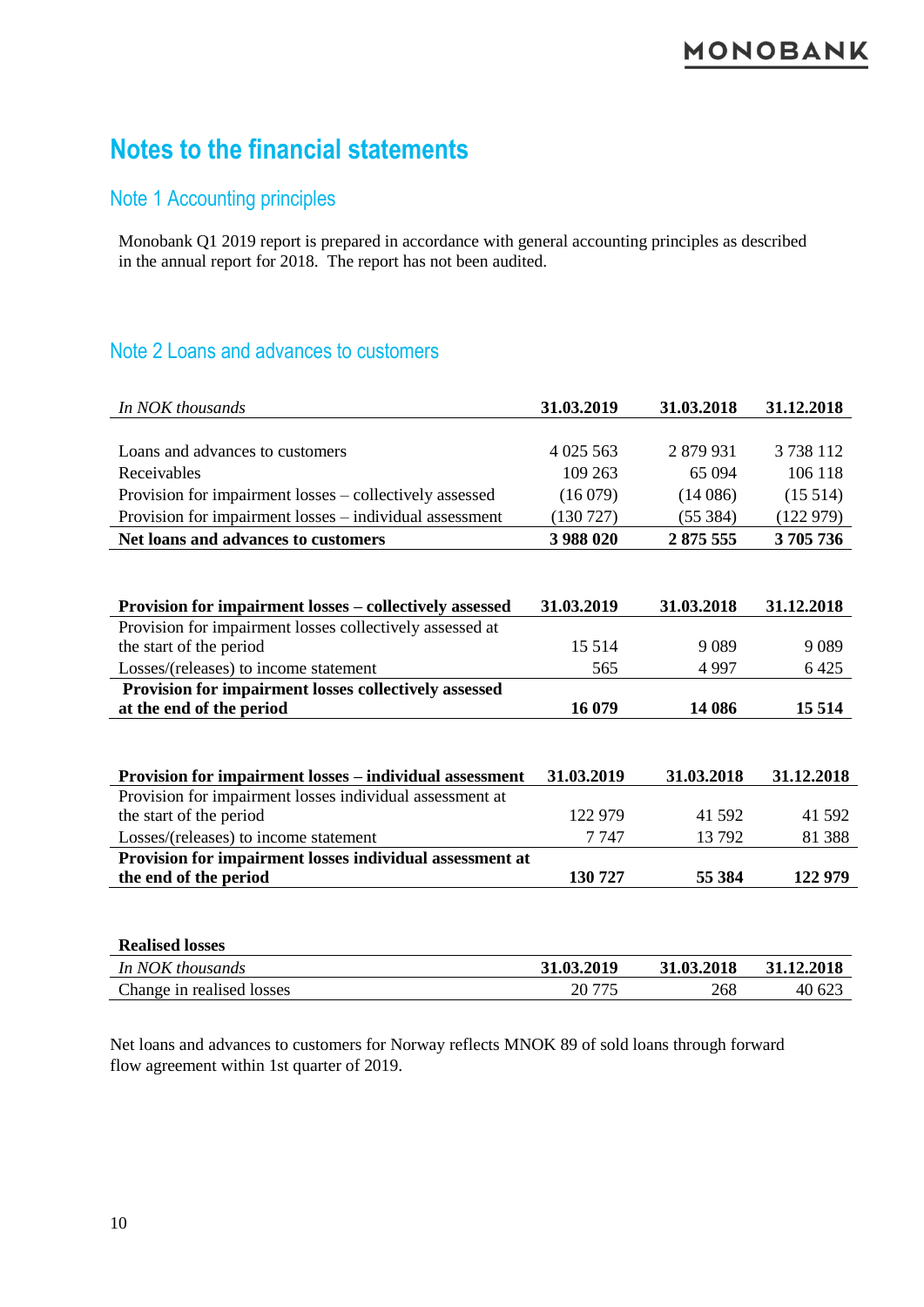### **Notes to the financial statements**

#### Note 1 Accounting principles

Monobank Q1 2019 report is prepared in accordance with general accounting principles as described in the annual report for 2018. The report has not been audited.

#### Note 2 Loans and advances to customers

| In NOK thousands                                         | 31.03.2019  | 31.03.2018 | 31.12.2018 |
|----------------------------------------------------------|-------------|------------|------------|
|                                                          |             |            |            |
| Loans and advances to customers                          | 4 0 25 5 63 | 2879931    | 3738112    |
| Receivables                                              | 109 263     | 65 0 94    | 106 118    |
| Provision for impairment losses – collectively assessed  | (16079)     | (14086)    | (15514)    |
| Provision for impairment losses – individual assessment  | (130727)    | (55384)    | (122979)   |
| Net loans and advances to customers                      | 3 988 020   | 2875555    | 3705736    |
|                                                          |             |            |            |
|                                                          |             |            |            |
| Provision for impairment losses - collectively assessed  | 31.03.2019  | 31.03.2018 | 31.12.2018 |
| Provision for impairment losses collectively assessed at |             |            |            |
| the start of the period                                  | 15 5 14     | 9089       | 9 0 8 9    |
| Losses/(releases) to income statement                    | 565         | 4997       | 6425       |
| Provision for impairment losses collectively assessed    |             |            |            |
| at the end of the period                                 | 16 079      | 14 08 6    | 15 5 14    |
|                                                          |             |            |            |
|                                                          |             |            |            |
| Provision for impairment losses – individual assessment  | 31.03.2019  | 31.03.2018 | 31.12.2018 |
| Provision for impairment losses individual assessment at |             |            |            |
| the start of the period                                  | 122 979     | 41 592     | 41 592     |
| Losses/(releases) to income statement                    | 7 7 4 7     | 13792      | 81 388     |
| Provision for impairment losses individual assessment at |             |            |            |
| the end of the period                                    | 130 727     | 55 384     | 122 979    |
|                                                          |             |            |            |
|                                                          |             |            |            |
|                                                          |             |            |            |
| <b>Realised losses</b>                                   |             |            |            |
| In NOK thousands                                         | 31.03.2019  | 31.03.2018 | 31.12.2018 |

Net loans and advances to customers for Norway reflects MNOK 89 of sold loans through forward flow agreement within 1st quarter of 2019.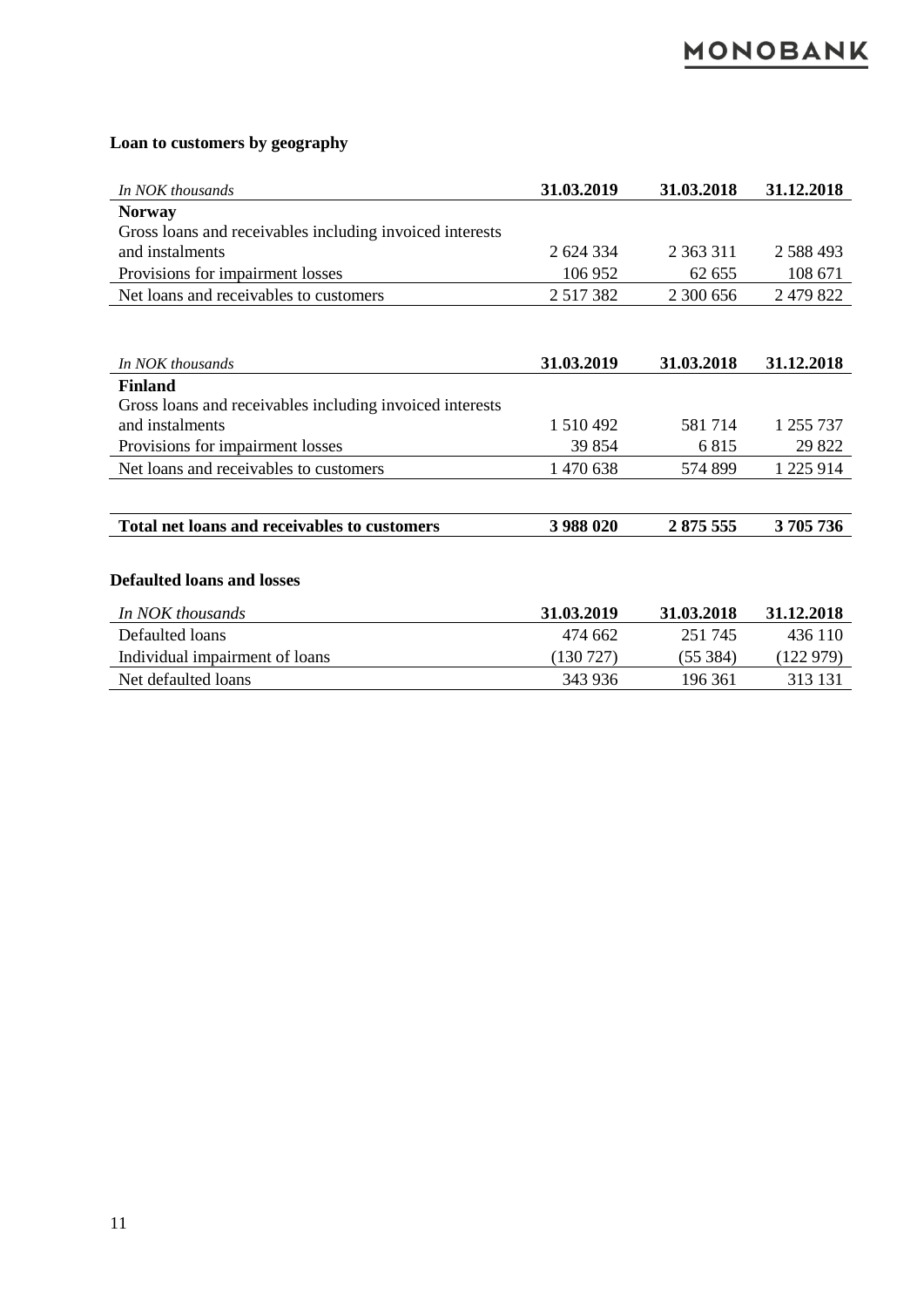#### **Loan to customers by geography**

| In NOK thousands                                         | 31.03.2019    | 31.03.2018    | 31.12.2018    |
|----------------------------------------------------------|---------------|---------------|---------------|
| <b>Norway</b>                                            |               |               |               |
| Gross loans and receivables including invoiced interests |               |               |               |
| and instalments                                          | 2 624 334     | 2 3 6 3 3 1 1 | 2 588 493     |
| Provisions for impairment losses                         | 106 952       | 62 655        | 108 671       |
| Net loans and receivables to customers                   | 2 5 1 7 3 8 2 | 2 300 656     | 2 479 822     |
|                                                          |               |               |               |
| In NOK thousands                                         | 31.03.2019    | 31.03.2018    | 31.12.2018    |
| <b>Finland</b>                                           |               |               |               |
| Gross loans and receivables including invoiced interests |               |               |               |
| and instalments                                          | 1 510 492     | 581714        | 1 255 737     |
| Provisions for impairment losses                         | 39 854        | 6815          | 29 822        |
| Net loans and receivables to customers                   | 1 470 638     | 574 899       | 1 2 2 5 9 1 4 |
|                                                          |               |               |               |
| <b>Total net loans and receivables to customers</b>      | 3 988 020     | 2875 555      | 3705736       |
|                                                          |               |               |               |
| <b>Defaulted loans and losses</b>                        |               |               |               |
| In NOK thousands                                         | 31.03.2019    | 31.03.2018    | 31.12.2018    |
| Defaulted loans                                          | 474 662       | 251 745       | 436 110       |
| Individual impairment of loans                           | (130727)      | (55384)       | (122979)      |
| Net defaulted loans                                      | 343 936       | 196 361       | 313 131       |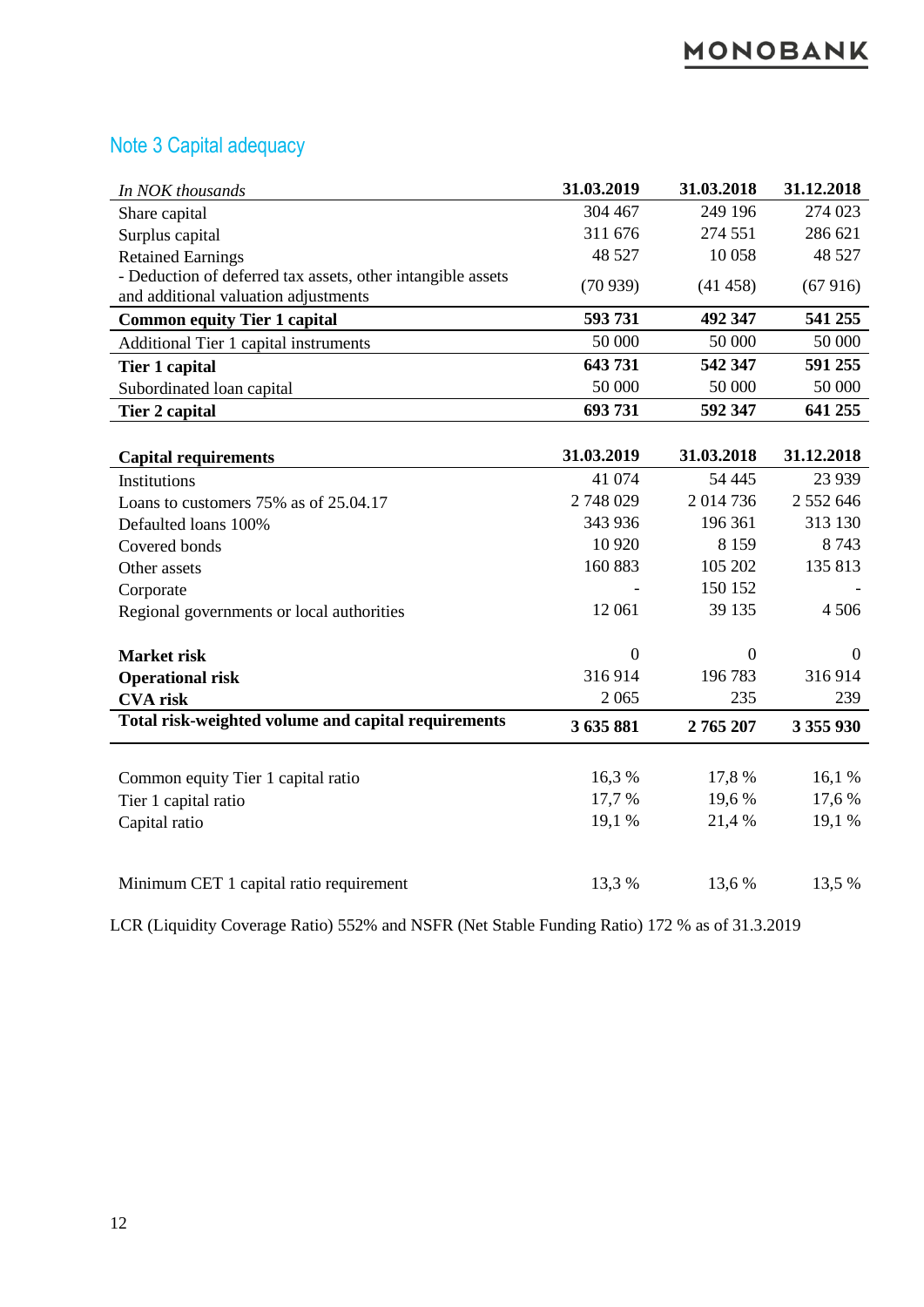#### Note 3 Capital adequacy

| In NOK thousands                                            | 31.03.2019     | 31.03.2018     | 31.12.2018     |
|-------------------------------------------------------------|----------------|----------------|----------------|
| Share capital                                               | 304 467        | 249 196        | 274 023        |
| Surplus capital                                             | 311 676        | 274 551        | 286 621        |
| <b>Retained Earnings</b>                                    | 48 5 27        | 10 058         | 48 5 27        |
| - Deduction of deferred tax assets, other intangible assets | (70939)        | (41458)        | (67916)        |
| and additional valuation adjustments                        |                |                |                |
| <b>Common equity Tier 1 capital</b>                         | 593731         | 492 347        | 541 255        |
| Additional Tier 1 capital instruments                       | 50 000         | 50 000         | 50 000         |
| <b>Tier 1 capital</b>                                       | 643731         | 542 347        | 591 255        |
| Subordinated loan capital                                   | 50 000         | 50 000         | 50 000         |
| Tier 2 capital                                              | 693731         | 592 347        | 641 255        |
|                                                             |                |                |                |
| <b>Capital requirements</b>                                 | 31.03.2019     | 31.03.2018     | 31.12.2018     |
| Institutions                                                | 41 074         | 54 4 45        | 23 9 39        |
| Loans to customers 75% as of 25.04.17                       | 2748029        | 2014736        | 2 552 646      |
| Defaulted loans 100%                                        | 343 936        | 196 361        | 313 130        |
| Covered bonds                                               | 10 9 20        | 8 1 5 9        | 8743           |
| Other assets                                                | 160 883        | 105 202        | 135 813        |
| Corporate                                                   |                | 150 152        |                |
| Regional governments or local authorities                   | 12 061         | 39 135         | 4 5 0 6        |
|                                                             |                |                |                |
| <b>Market risk</b>                                          | $\overline{0}$ | $\overline{0}$ | $\overline{0}$ |
| <b>Operational risk</b>                                     | 316914         | 196783         | 316914         |
| <b>CVA</b> risk                                             | 2065           | 235            | 239            |
| Total risk-weighted volume and capital requirements         | 3 635 881      | 2765207        | 3 355 930      |
|                                                             |                |                |                |
| Common equity Tier 1 capital ratio                          | 16,3%          | 17,8%          | 16,1 %         |
| Tier 1 capital ratio                                        | 17,7 %         | 19,6%          | 17,6 %         |
| Capital ratio                                               | 19,1 %         | 21,4 %         | 19,1 %         |
|                                                             |                |                |                |
| Minimum CET 1 capital ratio requirement                     | 13,3 %         | 13,6 %         | 13,5 %         |

LCR (Liquidity Coverage Ratio) 552% and NSFR (Net Stable Funding Ratio) 172 % as of 31.3.2019